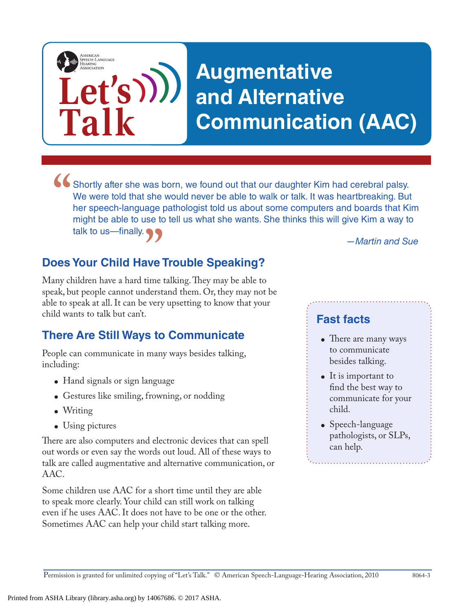# **Augmentative and Alternative Communication (AAC)**

Shortly after she was born, we found out that our daughter Kim had cerebral palsy.<br>We were told that she would never be able to walk or talk. It was heartbreaking. But<br>her speech-language pathologist told us about some com We were told that she would never be able to walk or talk. It was heartbreaking. But her speech-language pathologist told us about some computers and boards that Kim might be able to use to tell us what she wants. She thinks this will give Kim a way to talk to us-finally.

*—Martin and Sue*

## **Does Your Child Have Trouble Speaking? "**<br>ave<sup>"</sup><br>time

Many children have a hard time talking. They may be able to speak, but people cannot understand them. Or, they may not be able to speak at all. It can be very upsetting to know that your child wants to talk but can't.

## **There Are Still Ways to Communicate**

People can communicate in many ways besides talking, including:

• Hand signals or sign language

**Let's**

**Talk**

AMERICAN<br>SPEECH-LANGUAGE-<br>HEARING

- Gestures like smiling, frowning, or nodding
- Writing
- Using pictures

There are also computers and electronic devices that can spell out words or even say the words out loud. All of these ways to talk are called augmentative and alternative communication, or AAC.

Some children use AAC for a short time until they are able to speak more clearly. Your child can still work on talking even if he uses AAC. It does not have to be one or the other. Sometimes AAC can help your child start talking more.

#### **Fast facts**

- There are many ways to communicate besides talking.
- It is important to find the best way to communicate for your child.
- Speech-language pathologists, or SLPs, can help.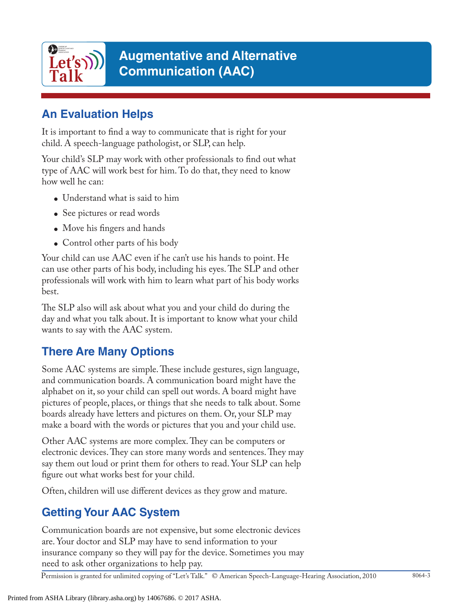

## **Augmentative and Alternative Communication (AAC)**

#### **An Evaluation Helps**

It is important to find a way to communicate that is right for your child. A speech-language pathologist, or SLP, can help.

Your child's SLP may work with other professionals to find out what type of AAC will work best for him. To do that, they need to know how well he can:

- Understand what is said to him
- See pictures or read words
- Move his fingers and hands
- Control other parts of his body

Your child can use AAC even if he can't use his hands to point. He can use other parts of his body, including his eyes. The SLP and other professionals will work with him to learn what part of his body works best.

The SLP also will ask about what you and your child do during the day and what you talk about. It is important to know what your child wants to say with the AAC system.

### **There Are Many Options**

Some AAC systems are simple. These include gestures, sign language, and communication boards. A communication board might have the alphabet on it, so your child can spell out words. A board might have pictures of people, places, or things that she needs to talk about. Some boards already have letters and pictures on them. Or, your SLP may make a board with the words or pictures that you and your child use.

Other AAC systems are more complex. They can be computers or electronic devices. They can store many words and sentences. They may say them out loud or print them for others to read. Your SLP can help figure out what works best for your child.

Often, children will use different devices as they grow and mature.

## **Getting Your AAC System**

Communication boards are not expensive, but some electronic devices are. Your doctor and SLP may have to send information to your insurance company so they will pay for the device. Sometimes you may need to ask other organizations to help pay.

Permission is granted for unlimited copying of "Let's Talk." © American Speech-Language-Hearing Association, 2010 8064-3